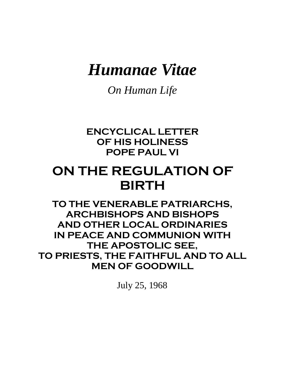*On Human Life*

**ENCYCLICAL LETTER** OF HIS HOLINESS POPE PAUL VI

# ON THE REGULATION OF  $BIRTH$

TO THE VENERABLE PATRIARCHS, ARCHBISHOPS AND BISHOPS AND OTHER LOCAL ORDINARIES IN PEACE AND COMMUNION WITH THE APOSTOLIC SEE, TO PRIESTS, THE FAITHFUL AND TO ALL **MEN OF GOODWILL** 

July 25, 1968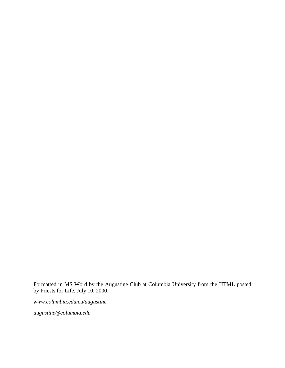Formatted in MS Word by the Augustine Club at Columbia University from the HTML posted by Priests for Life, July 10, 2000.

*www.columbia.edu/cu/augustine*

*augustine@columbia.edu*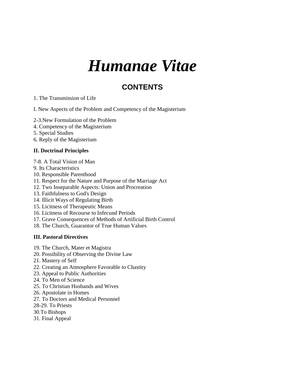# **CONTENTS**

1. The Transmission of Life

I. New Aspects of the Problem and Competency of the Magisterium

- 2-3.New Formulation of the Problem
- 4. Competency of the Magisterium
- 5. Special Studies
- 6. Reply of the Magisterium

# **II. Doctrinal Principles**

7-8. A Total Vision of Man

- 9. Its Characteristics
- 10. Responsible Parenthood
- 11. Respect for the Nature and Purpose of the Marriage Act
- 12. Two Inseparable Aspects: Union and Procreation
- 13. Faithfulness to God's Design
- 14. Illicit Ways of Regulating Birth
- 15. Licitness of Therapeutic Means
- 16. Licitness of Recourse to Infecund Periods
- 17. Grave Consequences of Methods of Artificial Birth Control
- 18. The Church, Guarantor of True Human Values

# **III. Pastoral Directives**

- 19. The Church, Mater et Magistra
- 20. Possibility of Observing the Divine Law
- 21. Mastery of Self
- 22. Creating an Atmosphere Favorable to Chastity
- 23. Appeal to Public Authorities
- 24. To Men of Science
- 25. To Christian Husbands and Wives
- 26. Apostolate in Homes
- 27. To Doctors and Medical Personnel
- 28-29. To Priests
- 30.To Bishops
- 31. Final Appeal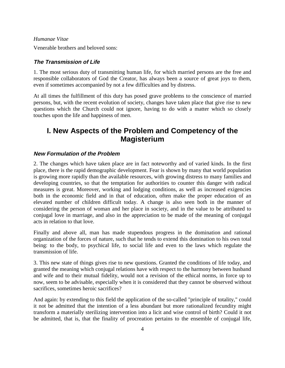Venerable brothers and beloved sons:

# **The Transmission of Life**

1. The most serious duty of transmitting human life, for which married persons are the free and responsible collaborators of God the Creator, has always been a source of great joys to them, even if sometimes accompanied by not a few difficulties and by distress.

At all times the fulfillment of this duty has posed grave problems to the conscience of married persons, but, with the recent evolution of society, changes have taken place that give rise to new questions which the Church could not ignore, having to do with a matter which so closely touches upon the life and happiness of men.

# **I. New Aspects of the Problem and Competency of the Magisterium**

# **New Formulation of the Problem**

2. The changes which have taken place are in fact noteworthy and of varied kinds. In the first place, there is the rapid demographic development. Fear is shown by many that world population is growing more rapidly than the available resources, with growing distress to many families and developing countries, so that the temptation for authorities to counter this danger with radical measures is great. Moreover, working and lodging conditions, as well as increased exigencies both in the economic field and in that of education, often make the proper education of an elevated number of children difficult today. A change is also seen both in the manner of considering the person of woman and her place in society, and in the value to be attributed to conjugal love in marriage, and also in the appreciation to be made of the meaning of conjugal acts in relation to that love.

Finally and above all, man has made stupendous progress in the domination and rational organization of the forces of nature, such that he tends to extend this domination to his own total being: to the body, to psychical life, to social life and even to the laws which regulate the transmission of life.

3. This new state of things gives rise to new questions. Granted the conditions of life today, and granted the meaning which conjugal relations have with respect to the harmony between husband and wife and to their mutual fidelity, would not a revision of the ethical norms, in force up to now, seem to be advisable, especially when it is considered that they cannot be observed without sacrifices, sometimes heroic sacrifices?

And again: by extending to this field the application of the so-called "principle of totality," could it not be admitted that the intention of a less abundant but more rationalized fecundity might transform a materially sterilizing intervention into a licit and wise control of birth? Could it not be admitted, that is, that the finality of procreation pertains to the ensemble of conjugal life,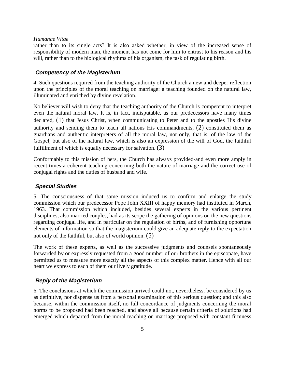rather than to its single acts? It is also asked whether, in view of the increased sense of responsibility of modern man, the moment has not come for him to entrust to his reason and his will, rather than to the biological rhythms of his organism, the task of regulating birth.

#### **Competency of the Magisterium**

4. Such questions required from the teaching authority of the Church a new and deeper reflection upon the principles of the moral teaching on marriage: a teaching founded on the natural law, illuminated and enriched by divine revelation.

No believer will wish to deny that the teaching authority of the Church is competent to interpret even the natural moral law. It is, in fact, indisputable, as our predecessors have many times declared, (1) that Jesus Christ, when communicating to Peter and to the apostles His divine authority and sending them to teach all nations His commandments, (2) constituted them as guardians and authentic interpreters of all the moral law, not only, that is, of the law of the Gospel, but also of the natural law, which is also an expression of the will of God, the faithful fulfillment of which is equally necessary for salvation. (3)

Conformably to this mission of hers, the Church has always provided-and even more amply in recent times-a coherent teaching concerning both the nature of marriage and the correct use of conjugal rights and the duties of husband and wife.

## **Special Studies**

5. The consciousness of that same mission induced us to confirm and enlarge the study commission which our predecessor Pope John XXIII of happy memory had instituted in March, 1963. That commission which included, besides several experts in the various pertinent disciplines, also married couples, had as its scope the gathering of opinions on the new questions regarding conjugal life, and in particular on the regulation of births, and of furnishing opportune elements of information so that the magisterium could give an adequate reply to the expectation not only of the faithful, but also of world opinion. (5)

The work of these experts, as well as the successive judgments and counsels spontaneously forwarded by or expressly requested from a good number of our brothers in the episcopate, have permitted us to measure more exactly all the aspects of this complex matter. Hence with all our heart we express to each of them our lively gratitude.

# **Reply of the Magisterium**

6. The conclusions at which the commission arrived could not, nevertheless, be considered by us as definitive, nor dispense us from a personal examination of this serious question; and this also because, within the commission itself, no full concordance of judgments concerning the moral norms to be proposed had been reached, and above all because certain criteria of solutions had emerged which departed from the moral teaching on marriage proposed with constant firmness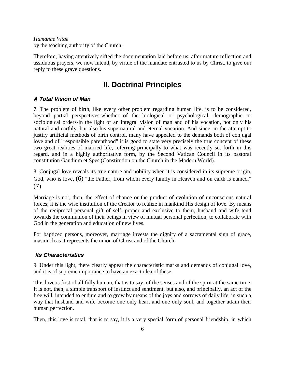## *Humanae Vitae* by the teaching authority of the Church.

Therefore, having attentively sifted the documentation laid before us, after mature reflection and assiduous prayers, we now intend, by virtue of the mandate entrusted to us by Christ, to give our reply to these grave questions.

# **II. Doctrinal Principles**

# **A Total Vision of Man**

7. The problem of birth, like every other problem regarding human life, is to be considered, beyond partial perspectives-whether of the biological or psychological, demographic or sociological orders-in the light of an integral vision of man and of his vocation, not only his natural and earthly, but also his supernatural and eternal vocation. And since, in the attempt to justify artificial methods of birth control, many have appealed to the demands both of conjugal love and of "responsible parenthood" it is good to state very precisely the true concept of these two great realities of married life, referring principally to what was recently set forth in this regard, and in a highly authoritative form, by the Second Vatican Council in its pastoral constitution Gaudium et Spes (Constitution on the Church in the Modern World).

8. Conjugal love reveals its true nature and nobility when it is considered in its supreme origin, God, who is love, (6) "the Father, from whom every family in Heaven and on earth is named." (7)

Marriage is not, then, the effect of chance or the product of evolution of unconscious natural forces; it is the wise institution of the Creator to realize in mankind His design of love. By means of the reciprocal personal gift of self, proper and exclusive to them, husband and wife tend towards the communion of their beings in view of mutual personal perfection, to collaborate with God in the generation and education of new lives.

For baptized persons, moreover, marriage invests the dignity of a sacramental sign of grace, inasmuch as it represents the union of Christ and of the Church.

# **Its Characteristics**

9. Under this light, there clearly appear the characteristic marks and demands of conjugal love, and it is of supreme importance to have an exact idea of these.

This love is first of all fully human, that is to say, of the senses and of the spirit at the same time. It is not, then, a simple transport of instinct and sentiment, but also, and principally, an act of the free will, intended to endure and to grow by means of the joys and sorrows of daily life, in such a way that husband and wife become one only heart and one only soul, and together attain their human perfection.

Then, this love is total, that is to say, it is a very special form of personal friendship, in which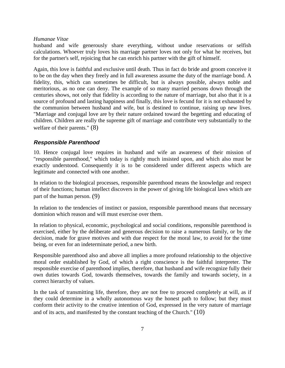husband and wife generously share everything, without undue reservations or selfish calculations. Whoever truly loves his marriage partner loves not only for what he receives, but for the partner's self, rejoicing that he can enrich his partner with the gift of himself.

Again, this love is faithful and exclusive until death. Thus in fact do bride and groom conceive it to be on the day when they freely and in full awareness assume the duty of the marriage bond. A fidelity, this, which can sometimes be difficult, but is always possible, always noble and meritorious, as no one can deny. The example of so many married persons down through the centuries shows, not only that fidelity is according to the nature of marriage, but also that it is a source of profound and lasting happiness and finally, this love is fecund for it is not exhausted by the communion between husband and wife, but is destined to continue, raising up new lives. "Marriage and conjugal love are by their nature ordained toward the begetting and educating of children. Children are really the supreme gift of marriage and contribute very substantially to the welfare of their parents." (8)

# **Responsible Parenthood**

10. Hence conjugal love requires in husband and wife an awareness of their mission of "responsible parenthood," which today is rightly much insisted upon, and which also must be exactly understood. Consequently it is to be considered under different aspects which are legitimate and connected with one another.

In relation to the biological processes, responsible parenthood means the knowledge and respect of their functions; human intellect discovers in the power of giving life biological laws which are part of the human person. (9)

In relation to the tendencies of instinct or passion, responsible parenthood means that necessary dominion which reason and will must exercise over them.

In relation to physical, economic, psychological and social conditions, responsible parenthood is exercised, either by the deliberate and generous decision to raise a numerous family, or by the decision, made for grave motives and with due respect for the moral law, to avoid for the time being, or even for an indeterminate period, a new birth.

Responsible parenthood also and above all implies a more profound relationship to the objective moral order established by God, of which a right conscience is the faithful interpreter. The responsible exercise of parenthood implies, therefore, that husband and wife recognize fully their own duties towards God, towards themselves, towards the family and towards society, in a correct hierarchy of values.

In the task of transmitting life, therefore, they are not free to proceed completely at will, as if they could determine in a wholly autonomous way the honest path to follow; but they must conform their activity to the creative intention of God, expressed in the very nature of marriage and of its acts, and manifested by the constant teaching of the Church." (10)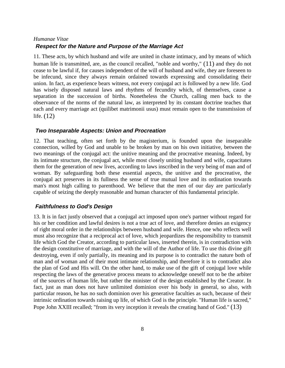# *Humanae Vitae* **Respect for the Nature and Purpose of the Marriage Act**

11. These acts, by which husband and wife are united in chaste intimacy, and by means of which human life is transmitted, are, as the council recalled, "noble and worthy," (11) and they do not cease to be lawful if, for causes independent of the will of husband and wife, they are foreseen to be infecund, since they always remain ordained towards expressing and consolidating their union. In fact, as experience bears witness, not every conjugal act is followed by a new life. God has wisely disposed natural laws and rhythms of fecundity which, of themselves, cause a separation in the succession of births. Nonetheless the Church, calling men back to the observance of the norms of the natural law, as interpreted by its constant doctrine teaches that each and every marriage act (quilibet matrimonii usus) must remain open to the transmission of life. (12)

#### **Two Inseparable Aspects: Union and Procreation**

12. That teaching, often set forth by the magisterium, is founded upon the inseparable connection, willed by God and unable to be broken by man on his own initiative, between the two meanings of the conjugal act: the unitive meaning and the procreative meaning. Indeed, by its intimate structure, the conjugal act, while most closely uniting husband and wife, capacitates them for the generation of new lives, according to laws inscribed in the very being of man and of woman. By safeguarding both these essential aspects, the unitive and the procreative, the conjugal act preserves in its fullness the sense of true mutual love and its ordination towards man's most high calling to parenthood. We believe that the men of our day are particularly capable of seizing the deeply reasonable and human character of this fundamental principle.

# **Faithfulness to God's Design**

13. It is in fact justly observed that a conjugal act imposed upon one's partner without regard for his or her condition and lawful desires is not a true act of love, and therefore denies an exigency of right moral order in the relationships between husband and wife. Hence, one who reflects well must also recognize that a reciprocal act of love, which jeopardizes the responsibility to transmit life which God the Creator, according to particular laws, inserted therein, is in contradiction with the design constitutive of marriage, and with the will of the Author of life. To use this divine gift destroying, even if only partially, its meaning and its purpose is to contradict the nature both of man and of woman and of their most intimate relationship, and therefore it is to contradict also the plan of God and His will. On the other hand, to make use of the gift of conjugal love while respecting the laws of the generative process means to acknowledge oneself not to be the arbiter of the sources of human life, but rather the minister of the design established by the Creator. In fact, just as man does not have unlimited dominion over his body in general, so also, with particular reason, he has no such dominion over his generative faculties as such, because of their intrinsic ordination towards raising up life, of which God is the principle. "Human life is sacred," Pope John XXIII recalled; "from its very inception it reveals the creating hand of God." (13)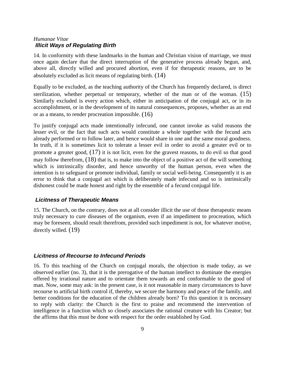# *Humanae Vitae*  **Illicit Ways of Regulating Birth**

14. In conformity with these landmarks in the human and Christian vision of marriage, we must once again declare that the direct interruption of the generative process already begun, and, above all, directly willed and procured abortion, even if for therapeutic reasons, are to be absolutely excluded as licit means of regulating birth. (14)

Equally to be excluded, as the teaching authority of the Church has frequently declared, is direct sterilization, whether perpetual or temporary, whether of the man or of the woman. (15) Similarly excluded is every action which, either in anticipation of the conjugal act, or in its accomplishment, or in the development of its natural consequences, proposes, whether as an end or as a means, to render procreation impossible. (16)

To justify conjugal acts made intentionally infecund, one cannot invoke as valid reasons the lesser evil, or the fact that such acts would constitute a whole together with the fecund acts already performed or to follow later, and hence would share in one and the same moral goodness. In truth, if it is sometimes licit to tolerate a lesser evil in order to avoid a greater evil or to promote a greater good, (17) it is not licit, even for the gravest reasons, to do evil so that good may follow therefrom,  $(18)$  that is, to make into the object of a positive act of the will something which is intrinsically disorder, and hence unworthy of the human person, even when the intention is to safeguard or promote individual, family or social well-being. Consequently it is an error to think that a conjugal act which is deliberately made infecund and so is intrinsically dishonest could be made honest and right by the ensemble of a fecund conjugal life.

# **Licitness of Therapeutic Means**

15. The Church, on the contrary, does not at all consider illicit the use of those therapeutic means truly necessary to cure diseases of the organism, even if an impediment to procreation, which may be foreseen, should result therefrom, provided such impediment is not, for whatever motive, directly willed. (19)

# **Licitness of Recourse to Infecund Periods**

16. To this teaching of the Church on conjugal morals, the objection is made today, as we observed earlier (no. 3), that it is the prerogative of the human intellect to dominate the energies offered by irrational nature and to orientate them towards an end conformable to the good of man. Now, some may ask: in the present case, is it not reasonable in many circumstances to have recourse to artificial birth control if, thereby, we secure the harmony and peace of the family, and better conditions for the education of the children already born? To this question it is necessary to reply with clarity: the Church is the first to praise and recommend the intervention of intelligence in a function which so closely associates the rational creature with his Creator; but the affirms that this must be done with respect for the order established by God.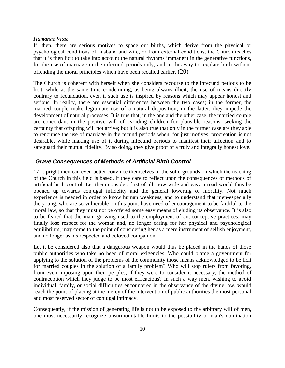If, then, there are serious motives to space out births, which derive from the physical or psychological conditions of husband and wife, or from external conditions, the Church teaches that it is then licit to take into account the natural rhythms immanent in the generative functions, for the use of marriage in the infecund periods only, and in this way to regulate birth without offending the moral principles which have been recalled earlier. (20)

The Church is coherent with herself when she considers recourse to the infecund periods to be licit, while at the same time condemning, as being always illicit, the use of means directly contrary to fecundation, even if such use is inspired by reasons which may appear honest and serious. In reality, there are essential differences between the two cases; in the former, the married couple make legitimate use of a natural disposition; in the latter, they impede the development of natural processes. It is true that, in the one and the other case, the married couple are concordant in the positive will of avoiding children for plausible reasons, seeking the certainty that offspring will not arrive; but it is also true that only in the former case are they able to renounce the use of marriage in the fecund periods when, for just motives, procreation is not desirable, while making use of it during infecund periods to manifest their affection and to safeguard their mutual fidelity. By so doing, they give proof of a truly and integrally honest love.

#### **Grave Consequences of Methods of Artificial Birth Control**

17. Upright men can even better convince themselves of the solid grounds on which the teaching of the Church in this field is based, if they care to reflect upon the consequences of methods of artificial birth control. Let them consider, first of all, how wide and easy a road would thus be opened up towards conjugal infidelity and the general lowering of morality. Not much experience is needed in order to know human weakness, and to understand that men-especially the young, who are so vulnerable on this point-have need of encouragement to be faithful to the moral law, so that they must not be offered some easy means of eluding its observance. It is also to be feared that the man, growing used to the employment of anticonceptive practices, may finally lose respect for the woman and, no longer caring for her physical and psychological equilibrium, may come to the point of considering her as a mere instrument of selfish enjoyment, and no longer as his respected and beloved companion.

Let it be considered also that a dangerous weapon would thus be placed in the hands of those public authorities who take no heed of moral exigencies. Who could blame a government for applying to the solution of the problems of the community those means acknowledged to be licit for married couples in the solution of a family problem? Who will stop rulers from favoring, from even imposing upon their peoples, if they were to consider it necessary, the method of contraception which they judge to be most efficacious? In such a way men, wishing to avoid individual, family, or social difficulties encountered in the observance of the divine law, would reach the point of placing at the mercy of the intervention of public authorities the most personal and most reserved sector of conjugal intimacy.

Consequently, if the mission of generating life is not to be exposed to the arbitrary will of men, one must necessarily recognize unsurmountable limits to the possibility of man's domination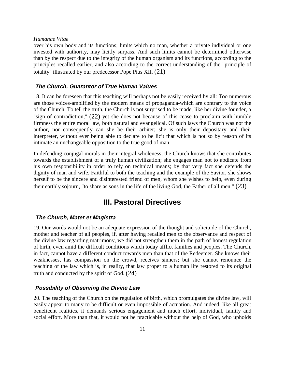over his own body and its functions; limits which no man, whether a private individual or one invested with authority, may licitly surpass. And such limits cannot be determined otherwise than by the respect due to the integrity of the human organism and its functions, according to the principles recalled earlier, and also according to the correct understanding of the "principle of totality" illustrated by our predecessor Pope Pius XII. (21)

#### **The Church, Guarantor of True Human Values**

18. It can be foreseen that this teaching will perhaps not be easily received by all: Too numerous are those voices-amplified by the modern means of propaganda-which are contrary to the voice of the Church. To tell the truth, the Church is not surprised to be made, like her divine founder, a "sign of contradiction," (22) yet she does not because of this cease to proclaim with humble firmness the entire moral law, both natural and evangelical. Of such laws the Church was not the author, nor consequently can she be their arbiter; she is only their depositary and their interpreter, without ever being able to declare to be licit that which is not so by reason of its intimate an unchangeable opposition to the true good of man.

In defending conjugal morals in their integral wholeness, the Church knows that she contributes towards the establishment of a truly human civilization; she engages man not to abdicate from his own responsibility in order to rely on technical means; by that very fact she defends the dignity of man and wife. Faithful to both the teaching and the example of the Savior, she shows herself to be the sincere and disinterested friend of men, whom she wishes to help, even during their earthly sojourn, "to share as sons in the life of the living God, the Father of all men." (23)

# **III. Pastoral Directives**

#### **The Church, Mater et Magistra**

19. Our words would not be an adequate expression of the thought and solicitude of the Church, mother and teacher of all peoples, if, after having recalled men to the observance and respect of the divine law regarding matrimony, we did not strengthen them in the path of honest regulation of birth, even amid the difficult conditions which today afflict families and peoples. The Church, in fact, cannot have a different conduct towards men than that of the Redeemer. She knows their weaknesses, has compassion on the crowd, receives sinners; but she cannot renounce the teaching of the law which is, in reality, that law proper to a human life restored to its original truth and conducted by the spirit of God. (24)

#### **Possibility of Observing the Divine Law**

20. The teaching of the Church on the regulation of birth, which promulgates the divine law, will easily appear to many to be difficult or even impossible of actuation. And indeed, like all great beneficent realities, it demands serious engagement and much effort, individual, family and social effort. More than that, it would not be practicable without the help of God, who upholds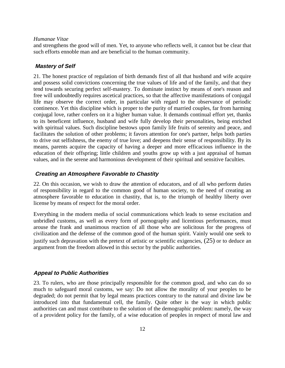and strengthens the good will of men. Yet, to anyone who reflects well, it cannot but be clear that such efforts ennoble man and are beneficial to the human community.

#### **Mastery of Self**

21. The honest practice of regulation of birth demands first of all that husband and wife acquire and possess solid convictions concerning the true values of life and of the family, and that they tend towards securing perfect self-mastery. To dominate instinct by means of one's reason and free will undoubtedly requires ascetical practices, so that the affective manifestations of conjugal life may observe the correct order, in particular with regard to the observance of periodic continence. Yet this discipline which is proper to the purity of married couples, far from harming conjugal love, rather confers on it a higher human value. It demands continual effort yet, thanks to its beneficent influence, husband and wife fully develop their personalities, being enriched with spiritual values. Such discipline bestows upon family life fruits of serenity and peace, and facilitates the solution of other problems; it favors attention for one's partner, helps both parties to drive out selfishness, the enemy of true love; and deepens their sense of responsibility. By its means, parents acquire the capacity of having a deeper and more efficacious influence in the education of their offspring; little children and youths grow up with a just appraisal of human values, and in the serene and harmonious development of their spiritual and sensitive faculties.

# **Creating an Atmosphere Favorable to Chastity**

22. On this occasion, we wish to draw the attention of educators, and of all who perform duties of responsibility in regard to the common good of human society, to the need of creating an atmosphere favorable to education in chastity, that is, to the triumph of healthy liberty over license by means of respect for the moral order.

Everything in the modern media of social communications which leads to sense excitation and unbridled customs, as well as every form of pornography and licentious performances, must arouse the frank and unanimous reaction of all those who are solicitous for the progress of civilization and the defense of the common good of the human spirit. Vainly would one seek to justify such depravation with the pretext of artistic or scientific exigencies, (25) or to deduce an argument from the freedom allowed in this sector by the public authorities.

#### **Appeal to Public Authorities**

23. To rulers, who are those principally responsible for the common good, and who can do so much to safeguard moral customs, we say: Do not allow the morality of your peoples to be degraded; do not permit that by legal means practices contrary to the natural and divine law be introduced into that fundamental cell, the family. Quite other is the way in which public authorities can and must contribute to the solution of the demographic problem: namely, the way of a provident policy for the family, of a wise education of peoples in respect of moral law and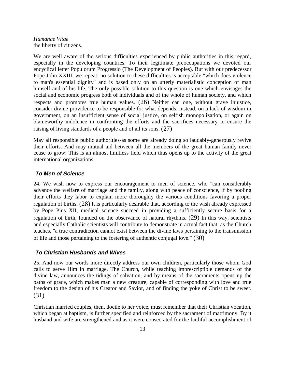*Humanae Vitae* the liberty of citizens.

We are well aware of the serious difficulties experienced by public authorities in this regard, especially in the developing countries. To their legitimate preoccupations we devoted our encyclical letter Populorum Progressio (The Development of Peoples). But with our predecessor Pope John XXIII, we repeat: no solution to these difficulties is acceptable "which does violence to man's essential dignity" and is based only on an utterly materialistic conception of man himself and of his life. The only possible solution to this question is one which envisages the social and economic progress both of individuals and of the whole of human society, and which respects and promotes true human values. (26) Neither can one, without grave injustice, consider divine providence to be responsible for what depends, instead, on a lack of wisdom in government, on an insufficient sense of social justice, on selfish monopolization, or again on blameworthy indolence in confronting the efforts and the sacrifices necessary to ensure the raising of living standards of a people and of all its sons. (27)

May all responsible public authorities-as some are already doing so laudably-generously revive their efforts. And may mutual aid between all the members of the great human family never cease to grow: This is an almost limitless field which thus opens up to the activity of the great international organizations.

# **To Men of Science**

24. We wish now to express our encouragement to men of science, who "can considerably advance the welfare of marriage and the family, along with peace of conscience, if by pooling their efforts they labor to explain more thoroughly the various conditions favoring a proper regulation of births. (28) It is particularly desirable that, according to the wish already expressed by Pope Pius XII, medical science succeed in providing a sufficiently secure basis for a regulation of birth, founded on the observance of natural rhythms. (29) In this way, scientists and especially Catholic scientists will contribute to demonstrate in actual fact that, as the Church teaches, "a true contradiction cannot exist between the divine laws pertaining to the transmission of life and those pertaining to the fostering of authentic conjugal love." (30)

# **To Christian Husbands and Wives**

25. And now our words more directly address our own children, particularly those whom God calls to serve Him in marriage. The Church, while teaching imprescriptible demands of the divine law, announces the tidings of salvation, and by means of the sacraments opens up the paths of grace, which makes man a new creature, capable of corresponding with love and true freedom to the design of his Creator and Savior, and of finding the yoke of Christ to be sweet. (31)

Christian married couples, then, docile to her voice, must remember that their Christian vocation, which began at baptism, is further specified and reinforced by the sacrament of matrimony. By it husband and wife are strengthened and as it were consecrated for the faithful accomplishment of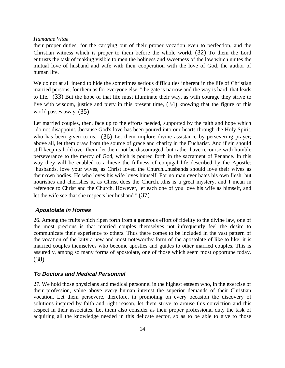their proper duties, for the carrying out of their proper vocation even to perfection, and the Christian witness which is proper to them before the whole world. (32) To them the Lord entrusts the task of making visible to men the holiness and sweetness of the law which unites the mutual love of husband and wife with their cooperation with the love of God, the author of human life.

We do not at all intend to hide the sometimes serious difficulties inherent in the life of Christian married persons; for them as for everyone else, "the gate is narrow and the way is hard, that leads to life." (33) But the hope of that life must illuminate their way, as with courage they strive to live with wisdom, justice and piety in this present time, (34) knowing that the figure of this world passes away. (35)

Let married couples, then, face up to the efforts needed, supported by the faith and hope which "do not disappoint...because God's love has been poured into our hearts through the Holy Spirit, who has been given to us." (36) Let them implore divine assistance by persevering prayer; above all, let them draw from the source of grace and charity in the Eucharist. And if sin should still keep its hold over them, let them not be discouraged, but rather have recourse with humble perseverance to the mercy of God, which is poured forth in the sacrament of Penance. In this way they will be enabled to achieve the fullness of conjugal life described by the Apostle: "husbands, love your wives, as Christ loved the Church...husbands should love their wives as their own bodies. He who loves his wife loves himself. For no man ever hates his own flesh, but nourishes and cherishes it, as Christ does the Church...this is a great mystery, and I mean in reference to Christ and the Church. However, let each one of you love his wife as himself, and let the wife see that she respects her husband." (37)

#### **Apostolate in Homes**

26. Among the fruits which ripen forth from a generous effort of fidelity to the divine law, one of the most precious is that married couples themselves not infrequently feel the desire to communicate their experience to others. Thus there comes to be included in the vast pattern of the vocation of the laity a new and most noteworthy form of the apostolate of like to like; it is married couples themselves who become apostles and guides to other married couples. This is assuredly, among so many forms of apostolate, one of those which seem most opportune today. (38)

#### **To Doctors and Medical Personnel**

27. We hold those physicians and medical personnel in the highest esteem who, in the exercise of their profession, value above every human interest the superior demands of their Christian vocation. Let them persevere, therefore, in promoting on every occasion the discovery of solutions inspired by faith and right reason, let them strive to arouse this conviction and this respect in their associates. Let them also consider as their proper professional duty the task of acquiring all the knowledge needed in this delicate sector, so as to be able to give to those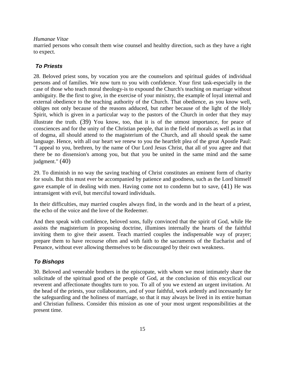married persons who consult them wise counsel and healthy direction, such as they have a right to expect.

# **To Priests**

28. Beloved priest sons, by vocation you are the counselors and spiritual guides of individual persons and of families. We now turn to you with confidence. Your first task-especially in the case of those who teach moral theology-is to expound the Church's teaching on marriage without ambiguity. Be the first to give, in the exercise of your ministry, the example of loyal internal and external obedience to the teaching authority of the Church. That obedience, as you know well, obliges not only because of the reasons adduced, but rather because of the light of the Holy Spirit, which is given in a particular way to the pastors of the Church in order that they may illustrate the truth. (39) You know, too, that it is of the utmost importance, for peace of consciences and for the unity of the Christian people, that in the field of morals as well as in that of dogma, all should attend to the magisterium of the Church, and all should speak the same language. Hence, with all our heart we renew to you the heartfelt plea of the great Apostle Paul: "I appeal to you, brethren, by the name of Our Lord Jesus Christ, that all of you agree and that there be no dissension's among you, but that you be united in the same mind and the same judgment."  $(40)$ 

29. To diminish in no way the saving teaching of Christ constitutes an eminent form of charity for souls. But this must ever be accompanied by patience and goodness, such as the Lord himself gave example of in dealing with men. Having come not to condemn but to save, (41) He was intransigent with evil, but merciful toward individuals.

In their difficulties, may married couples always find, in the words and in the heart of a priest, the echo of the voice and the love of the Redeemer.

And then speak with confidence, beloved sons, fully convinced that the spirit of God, while He assists the magisterium in proposing doctrine, illumines internally the hearts of the faithful inviting them to give their assent. Teach married couples the indispensable way of prayer; prepare them to have recourse often and with faith to the sacraments of the Eucharist and of Penance, without ever allowing themselves to be discouraged by their own weakness.

# **To Bishops**

30. Beloved and venerable brothers in the episcopate, with whom we most intimately share the solicitude of the spiritual good of the people of God, at the conclusion of this encyclical our reverent and affectionate thoughts turn to you. To all of you we extend an urgent invitation. At the head of the priests, your collaborators, and of your faithful, work ardently and incessantly for the safeguarding and the holiness of marriage, so that it may always be lived in its entire human and Christian fullness. Consider this mission as one of your most urgent responsibilities at the present time.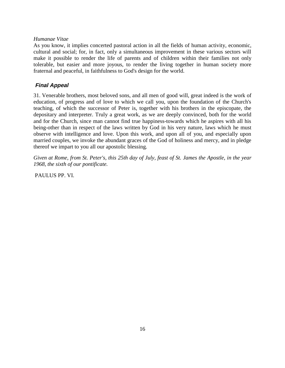As you know, it implies concerted pastoral action in all the fields of human activity, economic, cultural and social; for, in fact, only a simultaneous improvement in these various sectors will make it possible to render the life of parents and of children within their families not only tolerable, but easier and more joyous, to render the living together in human society more fraternal and peaceful, in faithfulness to God's design for the world.

# **Final Appeal**

31. Venerable brothers, most beloved sons, and all men of good will, great indeed is the work of education, of progress and of love to which we call you, upon the foundation of the Church's teaching, of which the successor of Peter is, together with his brothers in the episcopate, the depositary and interpreter. Truly a great work, as we are deeply convinced, both for the world and for the Church, since man cannot find true happiness-towards which he aspires with all his being-other than in respect of the laws written by God in his very nature, laws which he must observe with intelligence and love. Upon this work, and upon all of you, and especially upon married couples, we invoke the abundant graces of the God of holiness and mercy, and in pledge thereof we impart to you all our apostolic blessing.

*Given at Rome, from St. Peter's, this 25th day of July, feast of St. James the Apostle, in the year 1968, the sixth of our pontificate.*

PAULUS PP. VI.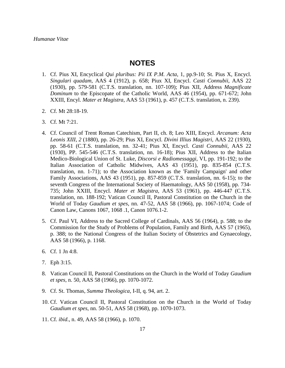# **NOTES**

- 1. Cf. Pius XI, Encyclical *Qui pluribus: Pii IX P.M. Acta*, 1, pp.9-10; St. Pius X, Encycl. *Singulari quadam*, AAS 4 (1912), p. 658; Piux XI, Encycl. *Casti Connubii*, AAS 22 (1930), pp. 579-581 (C.T.S. translation, nn. 107-109); Pius XII, Address *Magnificate Dominum* to the Episcopate of the Catholic World, AAS 46 (1954), pp. 671-672; John XXIII, Encyl. *Mater et Magistra*, AAS 53 (1961), p. 457 (C.T.S. translation, n. 239).
- 2. Cf. Mt 28:18-19.
- 3. Cf. Mt 7:21.
- 4. Cf. Council of Trent Roman Catechism, Part II, ch. 8; Leo XIII, Encycl. *Arcanum: Acta Leonis XIII, 2* (1880), pp. 26-29; Pius XI, Encycl. *Divini Illius Magistri*, AAS 22 (1930), pp. 58-61 (C.T.S. translation, nn. 32-41; Pius XI, Encycl. *Casti Connubii*, AAS 22 (1930), PP. 545-546 (C.T.S. translation, nn. 16-18); Pius XII, Address to the Italian Medico-Biological Union of St. Luke, *Discorsi e Radiomessaggi*, VI, pp. 191-192; to the Italian Association of Catholic Midwives, AAS 43 (1951), pp. 835-854 (C.T.S. translation, nn. 1-71); to the Association known as the 'Family Campaign' and other Family Associations, AAS 43 (1951), pp. 857-859 (C.T.S. translation, nn. 6-15); to the seventh Congress of the International Society of Haematology, AAS 50 (1958), pp. 734- 735; John XXIII, Encycl. *Mater et Magistra*, AAS 53 (1961), pp. 446-447 (C.T.S. translation, nn. 188-192; Vatican Council II, Pastoral Constitution on the Church in the World of Today *Gaudium et spes*, nn. 47-52, AAS 58 (1966), pp. 1067-1074; Code of Canon Law, Canons 1067, 1068 .1, Canon 1076.1-2.
- 5. Cf. Paul VI, Address to the Sacred College of Cardinals, AAS 56 (1964), p. 588; to the Commission for the Study of Problems of Population, Family and Birth, AAS 57 (1965), p. 388; to the National Congress of the Italian Society of Obstetrics and Gynaecology, AAS 58 (1966), p. 1168.
- 6. Cf. 1 Jn 4:8.
- 7. Eph 3:15.
- 8. Vatican Council II, Pastoral Constitutions on the Church in the World of Today *Gaudium et spes*, n. 50, AAS 58 (1966), pp. 1070-1072.
- 9. Cf. St. Thomas, *Summa Theologica*, I-II, q. 94, art. 2.
- 10. Cf. Vatican Council II, Pastoral Constitution on the Church in the World of Today *Gaudium et spes*, nn. 50-51, AAS 58 (1968), pp. 1070-1073.
- 11. Cf. *ibid*., n. 49, AAS 58 (1966), p. 1070.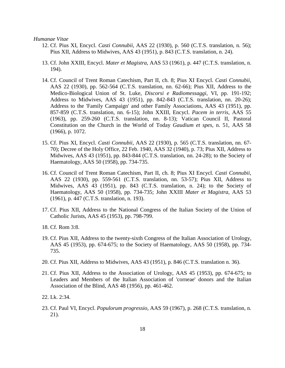- 12. Cf. Pius XI, Encycl. *Casti Connubii*, AAS 22 (1930), p. 560 (C.T.S. translation, n. 56); Pius XII, Address to Midwives, AAS 43 (1951), p. 843 (C.T.S. translation, n. 24).
- 13. Cf. John XXIII, Encycl. *Mater et Magistra*, AAS 53 (1961), p. 447 (C.T.S. translation, n. 194).
- 14. Cf. Council of Trent Roman Catechism, Part II, ch. 8; Pius XI Encycl. *Casti Connubii*, AAS 22 (1930), pp. 562-564 (C.T.S. translation, nn. 62-66); Pius XII, Address to the Medico-Biological Union of St. Luke, *Discorsi e Radiomessaggi*, VI, pp. 191-192; Address to Midwives, AAS 43 (1951), pp. 842-843 (C.T.S. translation, nn. 20-26); Address to the 'Family Campaign' and other Family Associations, AAS 43 (1951), pp. 857-859 (C.T.S. translation, nn. 6-15); John XXIII, Encycl. *Pacem in terris*, AAS 55 (1963), pp. 259-260 (C.T.S. translation, nn. 8-13); Vatican Council II, Pastoral Constitution on the Church in the World of Today *Gaudium et spes*, n. 51, AAS 58 (1966), p. 1072.
- 15. Cf. Pius XI, Encycl. *Casti Connubii*, AAS 22 (1930), p. 565 (C.T.S. translation, nn. 67- 70); Decree of the Holy Office, 22 Feb. 1940, AAS 32 (1940), p. 73; Pius XII, Address to Midwives, AAS 43 (1951), pp. 843-844 (C.T.S. translation, nn. 24-28); to the Society of Haematology, AAS 50 (1958), pp. 734-735.
- 16. Cf. Council of Trent Roman Catechism, Part II, ch. 8; Pius XI Encycl. *Casti Connubii*, AAS 22 (1930), pp. 559-561 (C.T.S. translation, nn. 53-57); Pius XII, Address to Midwives, AAS 43 (1951), pp. 843 (C.T.S. translation, n. 24); to the Society of Haematology, AAS 50 (1958), pp. 734-735; John XXIII *Mater et Magistra*, AAS 53 (1961), p. 447 (C.T.S. translation, n. 193).
- 17. Cf. Pius XII, Address to the National Congress of the Italian Society of the Union of Catholic Jurists, AAS 45 (1953), pp. 798-799.
- 18. Cf. Rom 3:8.
- 19. Cf. Pius XII, Address to the twenty-sixth Congress of the Italian Association of Urology, AAS 45 (1953), pp. 674-675; to the Society of Haematology, AAS 50 (1958), pp. 734- 735.
- 20. Cf. Pius XII, Address to Midwives, AAS 43 (1951), p. 846 (C.T.S. translation n. 36).
- 21. Cf. Pius XII, Address to the Association of Urology, AAS 45 (1953), pp. 674-675; to Leaders and Members of the Italian Association of 'corneae' donors and the Italian Association of the Blind, AAS 48 (1956), pp. 461-462.
- 22. Lk. 2:34.
- 23. Cf. Paul VI, Encycl. *Populorum progressio*, AAS 59 (1967), p. 268 (C.T.S. translation, n. 21).